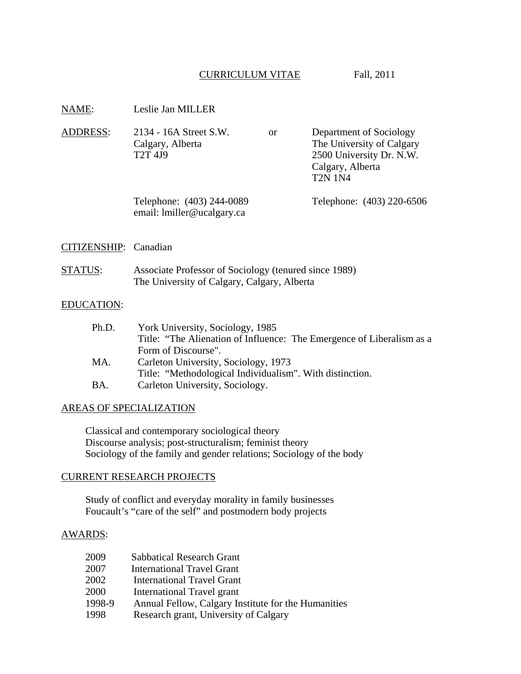# CURRICULUM VITAE Fall, 2011

| NAME:                 | Leslie Jan MILLER                                                                                                                |    |                                                                                                                        |
|-----------------------|----------------------------------------------------------------------------------------------------------------------------------|----|------------------------------------------------------------------------------------------------------------------------|
| <b>ADDRESS:</b>       | 2134 - 16A Street S.W.<br>Calgary, Alberta<br>T <sub>2</sub> T <sub>4J9</sub>                                                    | or | Department of Sociology<br>The University of Calgary<br>2500 University Dr. N.W.<br>Calgary, Alberta<br><b>T2N 1N4</b> |
|                       | Telephone: (403) 244-0089<br>email: lmiller@ucalgary.ca                                                                          |    | Telephone: (403) 220-6506                                                                                              |
| CITIZENSHIP: Canadian |                                                                                                                                  |    |                                                                                                                        |
| <b>STATUS:</b>        | Associate Professor of Sociology (tenured since 1989)<br>The University of Calgary, Calgary, Alberta                             |    |                                                                                                                        |
| <b>EDUCATION:</b>     |                                                                                                                                  |    |                                                                                                                        |
| Ph.D.                 | York University, Sociology, 1985<br>Title: "The Alienation of Influence: The Emergence of Liberalism as a<br>Form of Discourse". |    |                                                                                                                        |
| <b>R</b> <i>K</i> A   | $C_{\rm{m}}$ $1.4$ $\sim$ $1.1$ $\sim$ $1.4$ $\sim$ $1.1$ $\sim$ $1.1$ $\sim$ $1.072$                                            |    |                                                                                                                        |

- MA. Carleton University, Sociology, 1973 Title: "Methodological Individualism". With distinction.
- BA. Carleton University, Sociology.

# AREAS OF SPECIALIZATION

Classical and contemporary sociological theory Discourse analysis; post-structuralism; feminist theory Sociology of the family and gender relations; Sociology of the body

### CURRENT RESEARCH PROJECTS

Study of conflict and everyday morality in family businesses Foucault's "care of the self" and postmodern body projects

# AWARDS:

| 2009   | <b>Sabbatical Research Grant</b>                    |
|--------|-----------------------------------------------------|
| 2007   | <b>International Travel Grant</b>                   |
| 2002   | <b>International Travel Grant</b>                   |
| 2000   | International Travel grant                          |
| 1998-9 | Annual Fellow, Calgary Institute for the Humanities |
| 1998   | Research grant, University of Calgary               |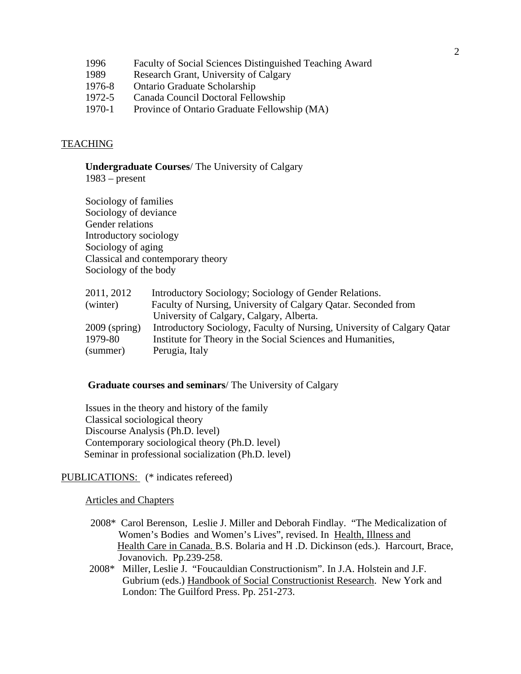| 1996 |  | Faculty of Social Sciences Distinguished Teaching Award |  |
|------|--|---------------------------------------------------------|--|
|------|--|---------------------------------------------------------|--|

- 1989 Research Grant, University of Calgary
- 1976-8 Ontario Graduate Scholarship
- 1972-5 Canada Council Doctoral Fellowship
- 1970-1 Province of Ontario Graduate Fellowship (MA)

### TEACHING

**Undergraduate Courses**/ The University of Calgary

1983 – present

Sociology of families Sociology of deviance Gender relations Introductory sociology Sociology of aging Classical and contemporary theory Sociology of the body

| 2011, 2012      | Introductory Sociology; Sociology of Gender Relations.                  |
|-----------------|-------------------------------------------------------------------------|
| (winter)        | Faculty of Nursing, University of Calgary Qatar. Seconded from          |
|                 | University of Calgary, Calgary, Alberta.                                |
| $2009$ (spring) | Introductory Sociology, Faculty of Nursing, University of Calgary Qatar |
| 1979-80         | Institute for Theory in the Social Sciences and Humanities,             |
| (summer)        | Perugia, Italy                                                          |

### **Graduate courses and seminars**/ The University of Calgary

Issues in the theory and history of the family Classical sociological theory Discourse Analysis (Ph.D. level) Contemporary sociological theory (Ph.D. level) Seminar in professional socialization (Ph.D. level)

PUBLICATIONS: (\* indicates refereed)

Articles and Chapters

- 2008\* Carol Berenson, Leslie J. Miller and Deborah Findlay. "The Medicalization of Women's Bodies and Women's Lives", revised. In Health, Illness and Health Care in Canada. B.S. Bolaria and H .D. Dickinson (eds.). Harcourt, Brace, Jovanovich. Pp.239-258.
	- 2008\* Miller, Leslie J. "Foucauldian Constructionism". In J.A. Holstein and J.F. Gubrium (eds.) Handbook of Social Constructionist Research. New York and London: The Guilford Press. Pp. 251-273.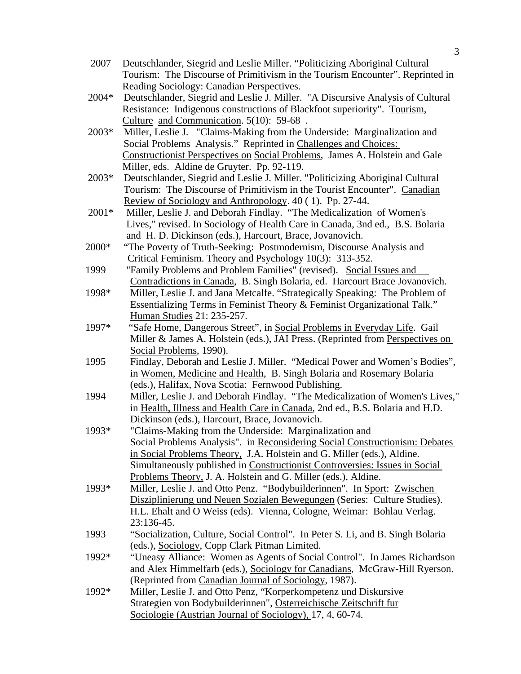- 2007 Deutschlander, Siegrid and Leslie Miller. "Politicizing Aboriginal Cultural Tourism: The Discourse of Primitivism in the Tourism Encounter". Reprinted in Reading Sociology: Canadian Perspectives .
- 2004\* Deutschlander, Siegrid and Leslie J. Miller. "A Discursive Analysis of Cultural Resistance: Indigenous constructions of Blackfoot superiority". Tourism, Culture and Communication. 5(10): 59-68.
- 2003\* Miller, Leslie J. "Claims-Making from the Underside: Marginalization and Social Problems Analysis." Reprinted in Challenges and Choices: Constructionist Perspectives on Social Problems , James A. Holstein and Gale Miller, eds. Aldine de Gruyter. Pp. 92-119.
- 2003\* Deutschlander, Siegrid and Leslie J. Miller. "Politicizing Aboriginal Cultural Tourism: The Discourse of Primitivism in the Tourist Encounter". Canadian Review of Sociology and Anthropology. 40 (1). Pp. 27-44.
- 2001\* Miller, Leslie J. and Deborah Findlay. "The Medicalization of Women's Lives," revised. In Sociology of Health Care in Canada, 3nd ed., B.S. Bolaria and H. D. Dickinson (eds.), Harcourt, Brace, Jovanovich.
- 2000\* "The Poverty of Truth-Seeking: Postmodernism, Discourse Analysis and Critical Feminism. Theory and Psychology 10(3): 313-352.
	- 1999 "Family Problems and Problem Families" (revised). Social Issues and Contradictions in Canada, B. Singh Bolaria, ed. Harcourt Brace Jovanovich.
	- 1998\* Miller, Leslie J. and Jana Metcalfe. "Strategically Speaking: The Problem of Essentializing Terms in Feminist Theory & Feminist Organizational Talk." Human Studies 21: 235-257.
	- 1997\* "Safe Home, Dangerous Street", in Social Problems in Everyday Life. Gail Miller & James A. Holstein (eds.), JAI Press. (Reprinted from Perspectives on Social Problems, 1990).
	- 1995 Findlay, Deborah and Leslie J. Miller. "Medical Power and Women's Bodies", in Women, Medicine and Health, B. Singh Bolaria and Rosemary Bolaria (eds.), Halifax, Nova Scotia: Fernwood Publishing.
	- 1994 Miller, Leslie J. and Deborah Findlay. "The Medicalization of Women's Lives," in Health, Illness and Health Care in Canada , 2nd ed., B.S. Bolaria and H.D. Dickinson (eds.), Harcourt, Brace, Jovanovich.
	- 1993\* "Claims-Making from the Underside: Marginalization and Social Problems Analysis". in Reconsidering Social Constructionism: Debates in Social Problems Theory, J.A. Holstein and G. Miller (eds.), Aldine. Simultaneously published in Constructionist Controversies: Issues in Social Problems Theory, J. A. Holstein and G. Miller (eds.), Aldine.
	- 1993\* Miller, Leslie J. and Otto Penz. "Bodybuilderinnen". In Sport: Zwischen Disziplinierung und Neuen Sozialen Bewegungen (Series: Culture Studies). H.L. Ehalt and O Weiss (eds). Vienna, Cologne, Weimar: Bohlau Verlag. 23:136-45.
	- 1993 "Socialization, Culture, Social Control". In Peter S. Li, and B. Singh Bolaria (eds.), Sociology , Copp Clark Pitman Limited.
	- 1992\* "Uneasy Alliance: Women as Agents of Social Control". In James Richardson and Alex Himmelfarb (eds.), Sociology for Canadians, McGraw-Hill Ryerson. (Reprinted from Canadian Journal of Sociology, 1987).
	- 1992\* Miller, Leslie J. and Otto Penz, "Korperkompetenz und Diskursive Strategien von Bodybuilderinnen", Osterreichische Zeitschrift fur Sociologie (Austrian Journal of Sociology), 17, 4, 60-74.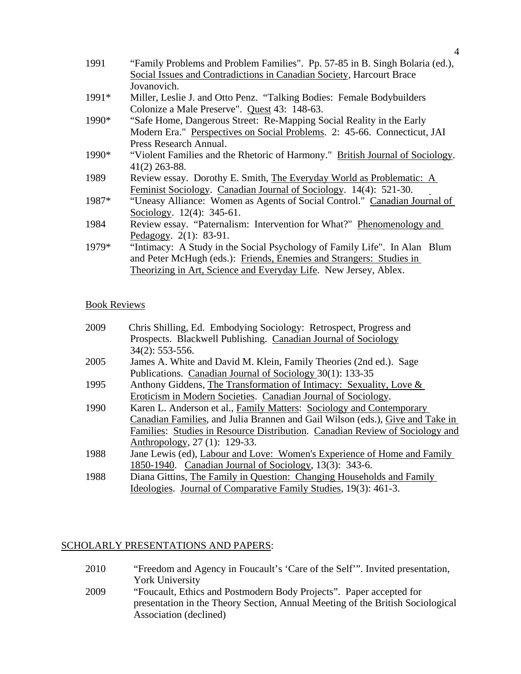| 1991    | "Family Problems and Problem Families". Pp. 57-85 in B. Singh Bolaria (ed.),  |
|---------|-------------------------------------------------------------------------------|
|         | Social Issues and Contradictions in Canadian Society, Harcourt Brace          |
|         | Jovanovich.                                                                   |
| $1991*$ | Miller, Leslie J. and Otto Penz. "Talking Bodies: Female Bodybuilders"        |
|         | Colonize a Male Preserve". Quest 43: 148-63.                                  |
| 1990*   | "Safe Home, Dangerous Street: Re-Mapping Social Reality in the Early          |
|         | Modern Era." Perspectives on Social Problems. 2: 45-66. Connecticut, JAI      |
|         | Press Research Annual.                                                        |
| 1990*   | "Violent Families and the Rhetoric of Harmony." British Journal of Sociology. |
|         | $41(2)$ 263-88.                                                               |
| 1989    | Review essay. Dorothy E. Smith, The Everyday World as Problematic: A          |
|         | Feminist Sociology. Canadian Journal of Sociology. 14(4): 521-30.             |
| 1987*   | "Uneasy Alliance: Women as Agents of Social Control." Canadian Journal of     |
|         | Sociology. 12(4): 345-61.                                                     |
| 1984    | Review essay. "Paternalism: Intervention for What?" Phenomenology and         |
|         | Pedagogy. $2(1)$ : 83-91.                                                     |
| 1979*   | "Intimacy: A Study in the Social Psychology of Family Life". In Alan Blum     |
|         | and Peter McHugh (eds.): Friends, Enemies and Strangers: Studies in           |
|         | Theorizing in Art, Science and Everyday Life. New Jersey, Ablex.              |

# Book Reviews

| 2009 | Chris Shilling, Ed. Embodying Sociology: Retrospect, Progress and             |
|------|-------------------------------------------------------------------------------|
|      | Prospects. Blackwell Publishing. Canadian Journal of Sociology                |
|      | $34(2): 553-556.$                                                             |
| 2005 | James A. White and David M. Klein, Family Theories (2nd ed.). Sage            |
|      | Publications. Canadian Journal of Sociology 30(1): 133-35                     |
| 1995 | Anthony Giddens, The Transformation of Intimacy: Sexuality, Love &            |
|      | Eroticism in Modern Societies. Canadian Journal of Sociology.                 |
| 1990 | Karen L. Anderson et al., Family Matters: Sociology and Contemporary          |
|      | Canadian Families, and Julia Brannen and Gail Wilson (eds.), Give and Take in |
|      | Families: Studies in Resource Distribution. Canadian Review of Sociology and  |
|      | Anthropology, 27 (1): 129-33.                                                 |
| 1988 | Jane Lewis (ed), Labour and Love: Women's Experience of Home and Family       |
|      | 1850-1940. Canadian Journal of Sociology, 13(3): 343-6.                       |
| 1988 | Diana Gittins, The Family in Question: Changing Households and Family         |
|      | Ideologies. Journal of Comparative Family Studies, 19(3): 461-3.              |

# SCHOLARLY PRESENTATIONS AND PAPERS:

| 2010 | "Freedom and Agency in Foucault's 'Care of the Self'". Invited presentation, |
|------|------------------------------------------------------------------------------|
|      | <b>York University</b>                                                       |

2009 "Foucault, Ethics and Postmodern Body Projects". Paper accepted for presentation in the Theory Section, Annual Meeting of the British Sociological Association (declined)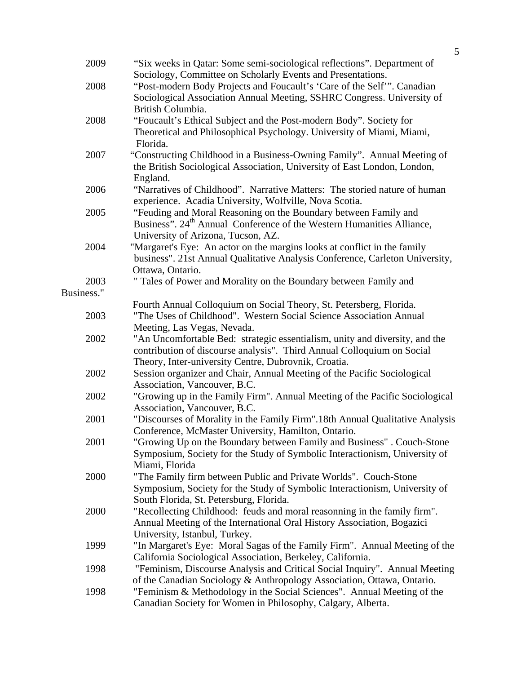| 2009       | "Six weeks in Qatar: Some semi-sociological reflections". Department of           |
|------------|-----------------------------------------------------------------------------------|
|            | Sociology, Committee on Scholarly Events and Presentations.                       |
| 2008       | "Post-modern Body Projects and Foucault's 'Care of the Self'". Canadian           |
|            | Sociological Association Annual Meeting, SSHRC Congress. University of            |
|            | British Columbia.                                                                 |
| 2008       | "Foucault's Ethical Subject and the Post-modern Body". Society for                |
|            | Theoretical and Philosophical Psychology. University of Miami, Miami,             |
|            | Florida.                                                                          |
| 2007       | "Constructing Childhood in a Business-Owning Family". Annual Meeting of           |
|            | the British Sociological Association, University of East London, London,          |
|            | England.                                                                          |
| 2006       | "Narratives of Childhood". Narrative Matters: The storied nature of human         |
|            | experience. Acadia University, Wolfville, Nova Scotia.                            |
| 2005       | "Feuding and Moral Reasoning on the Boundary between Family and                   |
|            | Business". 24 <sup>th</sup> Annual Conference of the Western Humanities Alliance, |
|            | University of Arizona, Tucson, AZ.                                                |
| 2004       | "Margaret's Eye: An actor on the margins looks at conflict in the family          |
|            | business". 21st Annual Qualitative Analysis Conference, Carleton University,      |
|            | Ottawa, Ontario.                                                                  |
| 2003       |                                                                                   |
| Business." | " Tales of Power and Morality on the Boundary between Family and                  |
|            |                                                                                   |
| 2003       | Fourth Annual Colloquium on Social Theory, St. Petersberg, Florida.               |
|            | "The Uses of Childhood". Western Social Science Association Annual                |
|            | Meeting, Las Vegas, Nevada.                                                       |
| 2002       | "An Uncomfortable Bed: strategic essentialism, unity and diversity, and the       |
|            | contribution of discourse analysis". Third Annual Colloquium on Social            |
|            | Theory, Inter-university Centre, Dubrovnik, Croatia.                              |
| 2002       | Session organizer and Chair, Annual Meeting of the Pacific Sociological           |
|            | Association, Vancouver, B.C.                                                      |
| 2002       | "Growing up in the Family Firm". Annual Meeting of the Pacific Sociological       |
|            | Association, Vancouver, B.C.                                                      |
| 2001       | "Discourses of Morality in the Family Firm".18th Annual Qualitative Analysis      |
|            | Conference, McMaster University, Hamilton, Ontario.                               |
| 2001       | "Growing Up on the Boundary between Family and Business". Couch-Stone             |
|            | Symposium, Society for the Study of Symbolic Interactionism, University of        |
|            | Miami, Florida                                                                    |
| 2000       | "The Family firm between Public and Private Worlds". Couch-Stone                  |
|            | Symposium, Society for the Study of Symbolic Interactionism, University of        |
|            | South Florida, St. Petersburg, Florida.                                           |
| 2000       | "Recollecting Childhood: feuds and moral reasonning in the family firm".          |
|            | Annual Meeting of the International Oral History Association, Bogazici            |
|            | University, Istanbul, Turkey.                                                     |
| 1999       | "In Margaret's Eye: Moral Sagas of the Family Firm". Annual Meeting of the        |
|            | California Sociological Association, Berkeley, California.                        |
| 1998       | "Feminism, Discourse Analysis and Critical Social Inquiry". Annual Meeting        |
|            | of the Canadian Sociology & Anthropology Association, Ottawa, Ontario.            |
| 1998       | "Feminism & Methodology in the Social Sciences". Annual Meeting of the            |
|            | Canadian Society for Women in Philosophy, Calgary, Alberta.                       |
|            |                                                                                   |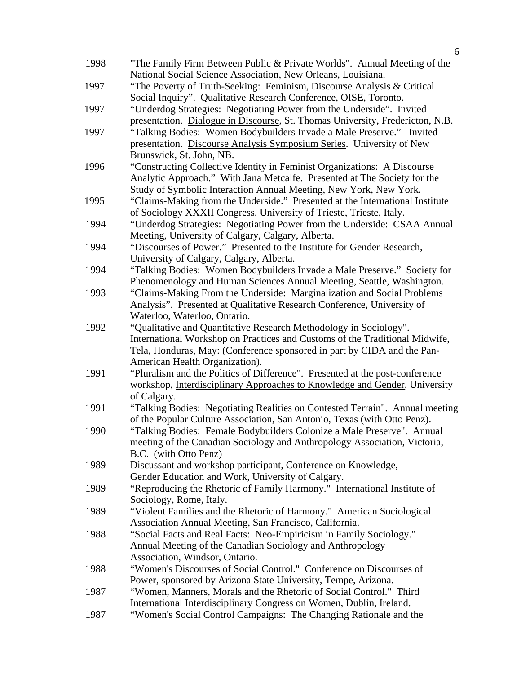| 1998 | "The Family Firm Between Public & Private Worlds". Annual Meeting of the      |
|------|-------------------------------------------------------------------------------|
|      | National Social Science Association, New Orleans, Louisiana.                  |
| 1997 | "The Poverty of Truth-Seeking: Feminism, Discourse Analysis & Critical        |
|      | Social Inquiry". Qualitative Research Conference, OISE, Toronto.              |
| 1997 | "Underdog Strategies: Negotiating Power from the Underside". Invited          |
|      | presentation. Dialogue in Discourse, St. Thomas University, Fredericton, N.B. |
| 1997 | "Talking Bodies: Women Bodybuilders Invade a Male Preserve." Invited          |
|      | presentation. Discourse Analysis Symposium Series. University of New          |
|      | Brunswick, St. John, NB.                                                      |
| 1996 | "Constructing Collective Identity in Feminist Organizations: A Discourse      |
|      | Analytic Approach." With Jana Metcalfe. Presented at The Society for the      |
|      | Study of Symbolic Interaction Annual Meeting, New York, New York.             |
| 1995 | "Claims-Making from the Underside." Presented at the International Institute  |
|      | of Sociology XXXII Congress, University of Trieste, Trieste, Italy.           |
| 1994 | "Underdog Strategies: Negotiating Power from the Underside: CSAA Annual       |
|      | Meeting, University of Calgary, Calgary, Alberta.                             |
| 1994 | "Discourses of Power." Presented to the Institute for Gender Research,        |
|      | University of Calgary, Calgary, Alberta.                                      |
| 1994 | "Talking Bodies: Women Bodybuilders Invade a Male Preserve." Society for      |
|      | Phenomenology and Human Sciences Annual Meeting, Seattle, Washington.         |
| 1993 | "Claims-Making From the Underside: Marginalization and Social Problems        |
|      | Analysis". Presented at Qualitative Research Conference, University of        |
|      | Waterloo, Waterloo, Ontario.                                                  |
| 1992 | "Qualitative and Quantitative Research Methodology in Sociology".             |
|      | International Workshop on Practices and Customs of the Traditional Midwife,   |
|      | Tela, Honduras, May: (Conference sponsored in part by CIDA and the Pan-       |
|      | American Health Organization).                                                |
| 1991 | "Pluralism and the Politics of Difference". Presented at the post-conference  |
|      | workshop, Interdisciplinary Approaches to Knowledge and Gender, University    |
|      | of Calgary.                                                                   |
| 1991 | "Talking Bodies: Negotiating Realities on Contested Terrain". Annual meeting  |
|      | of the Popular Culture Association, San Antonio, Texas (with Otto Penz).      |
| 1990 | "Talking Bodies: Female Bodybuilders Colonize a Male Preserve". Annual        |
|      | meeting of the Canadian Sociology and Anthropology Association, Victoria,     |
|      | B.C. (with Otto Penz)                                                         |
| 1989 | Discussant and workshop participant, Conference on Knowledge,                 |
|      | Gender Education and Work, University of Calgary.                             |
| 1989 | "Reproducing the Rhetoric of Family Harmony." International Institute of      |
|      | Sociology, Rome, Italy.                                                       |
| 1989 | "Violent Families and the Rhetoric of Harmony." American Sociological         |
|      | Association Annual Meeting, San Francisco, California.                        |
| 1988 | "Social Facts and Real Facts: Neo-Empiricism in Family Sociology."            |
|      | Annual Meeting of the Canadian Sociology and Anthropology                     |
|      | Association, Windsor, Ontario.                                                |
| 1988 | "Women's Discourses of Social Control." Conference on Discourses of           |
|      | Power, sponsored by Arizona State University, Tempe, Arizona.                 |
| 1987 | "Women, Manners, Morals and the Rhetoric of Social Control." Third            |
|      | International Interdisciplinary Congress on Women, Dublin, Ireland.           |
| 1987 | "Women's Social Control Campaigns: The Changing Rationale and the             |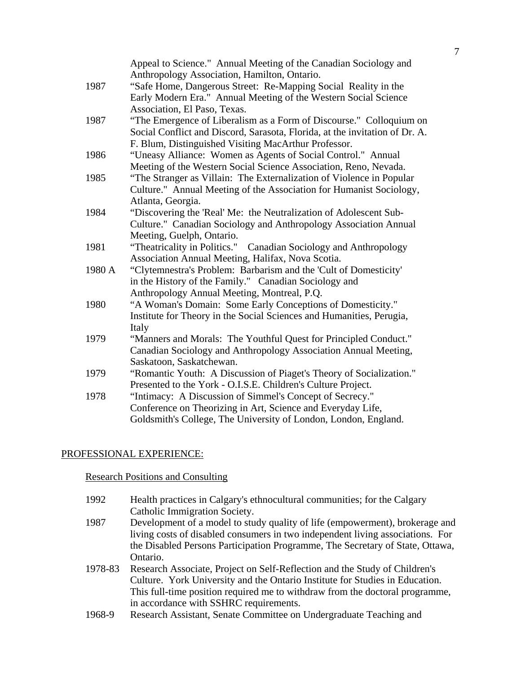|        | Appeal to Science." Annual Meeting of the Canadian Sociology and            |
|--------|-----------------------------------------------------------------------------|
|        | Anthropology Association, Hamilton, Ontario.                                |
| 1987   | "Safe Home, Dangerous Street: Re-Mapping Social Reality in the              |
|        | Early Modern Era." Annual Meeting of the Western Social Science             |
|        | Association, El Paso, Texas.                                                |
| 1987   | "The Emergence of Liberalism as a Form of Discourse." Colloquium on         |
|        | Social Conflict and Discord, Sarasota, Florida, at the invitation of Dr. A. |
|        | F. Blum, Distinguished Visiting MacArthur Professor.                        |
| 1986   | "Uneasy Alliance: Women as Agents of Social Control." Annual                |
|        | Meeting of the Western Social Science Association, Reno, Nevada.            |
| 1985   | "The Stranger as Villain: The Externalization of Violence in Popular        |
|        | Culture." Annual Meeting of the Association for Humanist Sociology,         |
|        | Atlanta, Georgia.                                                           |
| 1984   | "Discovering the 'Real' Me: the Neutralization of Adolescent Sub-           |
|        | Culture." Canadian Sociology and Anthropology Association Annual            |
|        | Meeting, Guelph, Ontario.                                                   |
| 1981   | "Theatricality in Politics." Canadian Sociology and Anthropology            |
|        | Association Annual Meeting, Halifax, Nova Scotia.                           |
| 1980 A | "Clytemnestra's Problem: Barbarism and the 'Cult of Domesticity'            |
|        | in the History of the Family." Canadian Sociology and                       |
|        | Anthropology Annual Meeting, Montreal, P.Q.                                 |
| 1980   | "A Woman's Domain: Some Early Conceptions of Domesticity."                  |
|        | Institute for Theory in the Social Sciences and Humanities, Perugia,        |
|        | Italy                                                                       |
| 1979   | "Manners and Morals: The Youthful Quest for Principled Conduct."            |
|        | Canadian Sociology and Anthropology Association Annual Meeting,             |
|        | Saskatoon, Saskatchewan.                                                    |
| 1979   | "Romantic Youth: A Discussion of Piaget's Theory of Socialization."         |
|        | Presented to the York - O.I.S.E. Children's Culture Project.                |
| 1978   | "Intimacy: A Discussion of Simmel's Concept of Secrecy."                    |
|        | Conference on Theorizing in Art, Science and Everyday Life,                 |
|        | Goldsmith's College, The University of London, London, England.             |
|        |                                                                             |

# PROFESSIONAL EXPERIENCE:

#### Research Positions and Consulting

- 1992 Health practices in Calgary's ethnocultural communities; for the Calgary Catholic Immigration Society.
- 1987 Development of a model to study quality of life (empowerment), brokerage and living costs of disabled consumers in two independent living associations. For the Disabled Persons Participation Programme, The Secretary of State, Ottawa, Ontario.
- 1978-83 Research Associate, Project on Self-Reflection and the Study of Children's Culture. York University and the Ontario Institute for Studies in Education. This full-time position required me to withdraw from the doctoral programme, in accordance with SSHRC requirements.
- 1968-9 Research Assistant, Senate Committee on Undergraduate Teaching and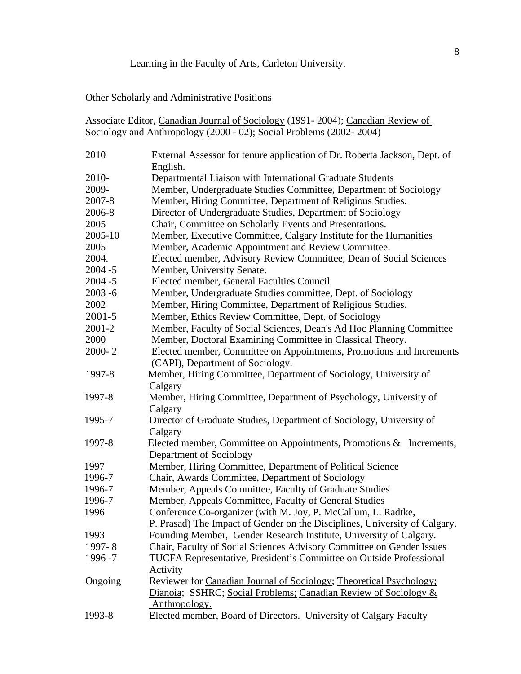### Learning in the Faculty of Arts, Carleton University.

#### Other Scholarly and Administrative Positions

|       | Associate Editor, Canadian Journal of Sociology (1991-2004); Canadian Review of       |
|-------|---------------------------------------------------------------------------------------|
|       | Sociology and Anthropology (2000 - 02); Social Problems (2002-2004)                   |
| 2010  | External Assessor for tenure application of Dr. Roberta Jackson, Dept. of<br>English. |
| 2010- | Departmental Liaison with International Graduate Students                             |

2009- Member, Undergraduate Studies Committee, Department of Sociology

2007-8 Member, Hiring Committee, Department of Religious Studies.

2006-8 Director of Undergraduate Studies, Department of Sociology

- 2005 Chair, Committee on Scholarly Events and Presentations.
- 2005-10 Member, Executive Committee, Calgary Institute for the Humanities
- 2005 Member, Academic Appointment and Review Committee.
- 2004. Elected member, Advisory Review Committee, Dean of Social Sciences 2004 -5 Member, University Senate.
- 2004 -5 Elected member, General Faculties Council
- 2003 -6 Member, Undergraduate Studies committee, Dept. of Sociology
- 2002 Member, Hiring Committee, Department of Religious Studies.
- 2001-5 Member, Ethics Review Committee, Dept. of Sociology
- 2001-2 Member, Faculty of Social Sciences, Dean's Ad Hoc Planning Committee
- 2000 Member, Doctoral Examining Committee in Classical Theory.
- 2000- 2 Elected member, Committee on Appointments, Promotions and Increments (CAPI), Department of Sociology.
- 1997-8 Member, Hiring Committee, Department of Sociology, University of Calgary
- 1997-8 Member, Hiring Committee, Department of Psychology, University of Calgary
- 1995-7 Director of Graduate Studies, Department of Sociology, University of Calgary
- 1997-8 Elected member, Committee on Appointments, Promotions & Increments, Department of Sociology
- 1997 Member, Hiring Committee, Department of Political Science
- 1996-7 Chair, Awards Committee, Department of Sociology
- 1996-7 Member, Appeals Committee, Faculty of Graduate Studies
- 1996-7 Member, Appeals Committee, Faculty of General Studies
- 1996 Conference Co-organizer (with M. Joy, P. McCallum, L. Radtke, P. Prasad) The Impact of Gender on the Disciplines, University of Calgary.
- 1993 Founding Member, Gender Research Institute, University of Calgary.
- 1997- 8 Chair, Faculty of Social Sciences Advisory Committee on Gender Issues
- 1996 -7 TUCFA Representative, President's Committee on Outside Professional
- Activity Ongoing Reviewer for Canadian Journal of Sociology; Theoretical Psychology; Dianoia; SSHRC; Social Problems; Canadian Review of Sociology & Anthropology.
- 1993-8 Elected member, Board of Directors. University of Calgary Faculty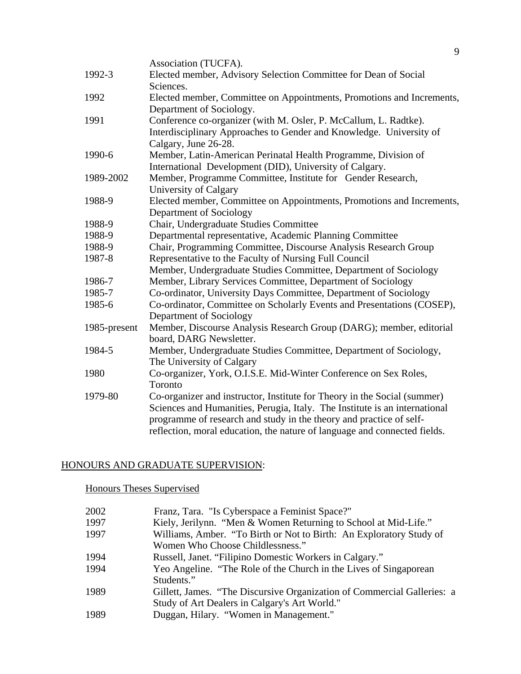|              | Association (TUCFA).                                                       |
|--------------|----------------------------------------------------------------------------|
| 1992-3       | Elected member, Advisory Selection Committee for Dean of Social            |
|              | Sciences.                                                                  |
| 1992         | Elected member, Committee on Appointments, Promotions and Increments,      |
|              | Department of Sociology.                                                   |
| 1991         | Conference co-organizer (with M. Osler, P. McCallum, L. Radtke).           |
|              | Interdisciplinary Approaches to Gender and Knowledge. University of        |
|              | Calgary, June 26-28.                                                       |
| 1990-6       | Member, Latin-American Perinatal Health Programme, Division of             |
|              | International Development (DID), University of Calgary.                    |
| 1989-2002    | Member, Programme Committee, Institute for Gender Research,                |
|              | University of Calgary                                                      |
| 1988-9       | Elected member, Committee on Appointments, Promotions and Increments,      |
|              | Department of Sociology                                                    |
| 1988-9       | Chair, Undergraduate Studies Committee                                     |
| 1988-9       | Departmental representative, Academic Planning Committee                   |
| 1988-9       | Chair, Programming Committee, Discourse Analysis Research Group            |
| 1987-8       | Representative to the Faculty of Nursing Full Council                      |
|              | Member, Undergraduate Studies Committee, Department of Sociology           |
| 1986-7       | Member, Library Services Committee, Department of Sociology                |
| 1985-7       | Co-ordinator, University Days Committee, Department of Sociology           |
| 1985-6       | Co-ordinator, Committee on Scholarly Events and Presentations (COSEP),     |
|              | Department of Sociology                                                    |
| 1985-present | Member, Discourse Analysis Research Group (DARG); member, editorial        |
|              | board, DARG Newsletter.                                                    |
| 1984-5       | Member, Undergraduate Studies Committee, Department of Sociology,          |
|              | The University of Calgary                                                  |
| 1980         | Co-organizer, York, O.I.S.E. Mid-Winter Conference on Sex Roles,           |
|              | Toronto                                                                    |
| 1979-80      | Co-organizer and instructor, Institute for Theory in the Social (summer)   |
|              | Sciences and Humanities, Perugia, Italy. The Institute is an international |
|              | programme of research and study in the theory and practice of self-        |
|              | reflection, moral education, the nature of language and connected fields.  |
|              |                                                                            |

# HONOURS AND GRADUATE SUPERVISION:

# Honours Theses Supervised

| 2002 | Franz, Tara. "Is Cyberspace a Feminist Space?"                          |
|------|-------------------------------------------------------------------------|
| 1997 | Kiely, Jerilynn. "Men & Women Returning to School at Mid-Life."         |
| 1997 | Williams, Amber. "To Birth or Not to Birth: An Exploratory Study of     |
|      | Women Who Choose Childlessness."                                        |
| 1994 | Russell, Janet. "Filipino Domestic Workers in Calgary."                 |
| 1994 | Yeo Angeline. "The Role of the Church in the Lives of Singaporean       |
|      | Students."                                                              |
| 1989 | Gillett, James. "The Discursive Organization of Commercial Galleries: a |
|      | Study of Art Dealers in Calgary's Art World."                           |
| 1989 | Duggan, Hilary. "Women in Management."                                  |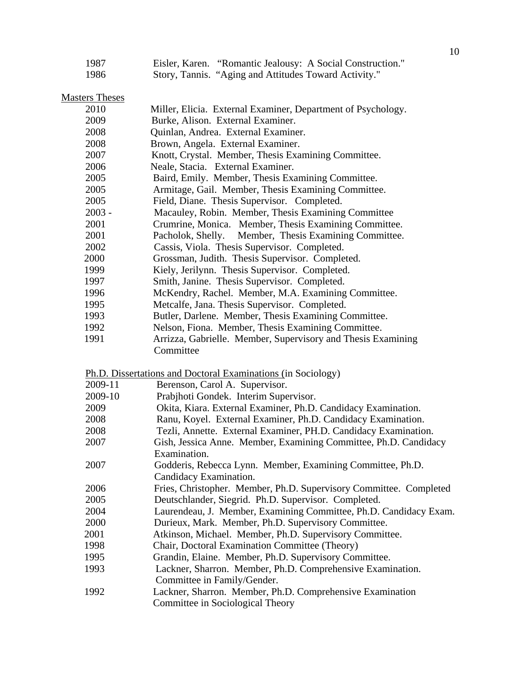| 1987 |                                                       | Eisler, Karen. "Romantic Jealousy: A Social Construction." |
|------|-------------------------------------------------------|------------------------------------------------------------|
| 1986 | Story, Tannis. "Aging and Attitudes Toward Activity." |                                                            |

Masters Theses

| Burke, Alison. External Examiner.<br>Quinlan, Andrea. External Examiner.<br>Brown, Angela. External Examiner.<br>Knott, Crystal. Member, Thesis Examining Committee.<br>Neale, Stacia. External Examiner. |  |
|-----------------------------------------------------------------------------------------------------------------------------------------------------------------------------------------------------------|--|
|                                                                                                                                                                                                           |  |
|                                                                                                                                                                                                           |  |
|                                                                                                                                                                                                           |  |
|                                                                                                                                                                                                           |  |
|                                                                                                                                                                                                           |  |
| Baird, Emily. Member, Thesis Examining Committee.                                                                                                                                                         |  |
| Armitage, Gail. Member, Thesis Examining Committee.                                                                                                                                                       |  |
| Field, Diane. Thesis Supervisor. Completed.                                                                                                                                                               |  |
| Macauley, Robin. Member, Thesis Examining Committee                                                                                                                                                       |  |
| Crumrine, Monica. Member, Thesis Examining Committee.                                                                                                                                                     |  |
| Pacholok, Shelly.<br>Member, Thesis Examining Committee.                                                                                                                                                  |  |
| Cassis, Viola. Thesis Supervisor. Completed.                                                                                                                                                              |  |
| Grossman, Judith. Thesis Supervisor. Completed.                                                                                                                                                           |  |
| Kiely, Jerilynn. Thesis Supervisor. Completed.                                                                                                                                                            |  |
| Smith, Janine. Thesis Supervisor. Completed.                                                                                                                                                              |  |
| McKendry, Rachel. Member, M.A. Examining Committee.                                                                                                                                                       |  |
| Metcalfe, Jana. Thesis Supervisor. Completed.                                                                                                                                                             |  |
| Butler, Darlene. Member, Thesis Examining Committee.                                                                                                                                                      |  |
| Nelson, Fiona. Member, Thesis Examining Committee.                                                                                                                                                        |  |
| Arrizza, Gabrielle. Member, Supervisory and Thesis Examining                                                                                                                                              |  |
| Committee                                                                                                                                                                                                 |  |
| Ph.D. Dissertations and Doctoral Examinations (in Sociology)                                                                                                                                              |  |
| Berenson, Carol A. Supervisor.                                                                                                                                                                            |  |
| Prabjhoti Gondek. Interim Supervisor.                                                                                                                                                                     |  |
| Okita, Kiara. External Examiner, Ph.D. Candidacy Examination.                                                                                                                                             |  |
| Ranu, Koyel. External Examiner, Ph.D. Candidacy Examination.                                                                                                                                              |  |
| Tezli, Annette. External Examiner, PH.D. Candidacy Examination.                                                                                                                                           |  |
| Gish, Jessica Anne. Member, Examining Committee, Ph.D. Candidacy                                                                                                                                          |  |
| Examination.                                                                                                                                                                                              |  |
| Godderis, Rebecca Lynn. Member, Examining Committee, Ph.D.                                                                                                                                                |  |
| Candidacy Examination.                                                                                                                                                                                    |  |
| Fries, Christopher. Member, Ph.D. Supervisory Committee. Completed                                                                                                                                        |  |
| Deutschlander, Siegrid. Ph.D. Supervisor. Completed.                                                                                                                                                      |  |
| Laurendeau, J. Member, Examining Committee, Ph.D. Candidacy Exam.                                                                                                                                         |  |
|                                                                                                                                                                                                           |  |
|                                                                                                                                                                                                           |  |
| Durieux, Mark. Member, Ph.D. Supervisory Committee.                                                                                                                                                       |  |
| Atkinson, Michael. Member, Ph.D. Supervisory Committee.                                                                                                                                                   |  |
| Chair, Doctoral Examination Committee (Theory)                                                                                                                                                            |  |
| Grandin, Elaine. Member, Ph.D. Supervisory Committee.                                                                                                                                                     |  |
| Lackner, Sharron. Member, Ph.D. Comprehensive Examination.                                                                                                                                                |  |
| Committee in Family/Gender.<br>Lackner, Sharron. Member, Ph.D. Comprehensive Examination                                                                                                                  |  |
|                                                                                                                                                                                                           |  |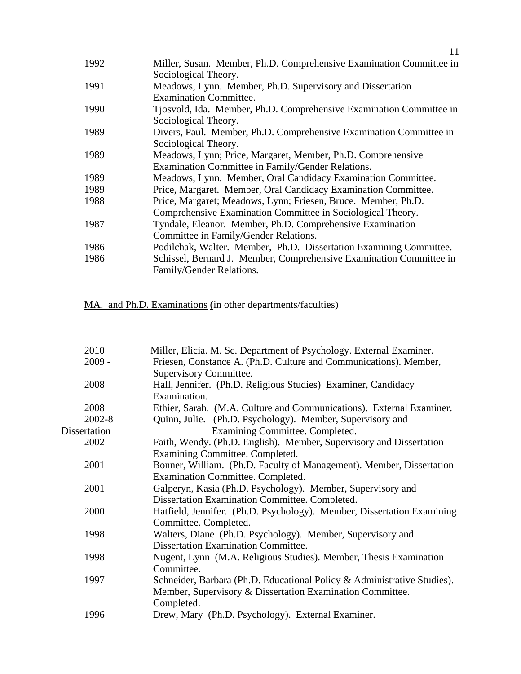|      | 11                                                                  |
|------|---------------------------------------------------------------------|
| 1992 | Miller, Susan. Member, Ph.D. Comprehensive Examination Committee in |
|      | Sociological Theory.                                                |
| 1991 | Meadows, Lynn. Member, Ph.D. Supervisory and Dissertation           |
|      | <b>Examination Committee.</b>                                       |
| 1990 | Tjosvold, Ida. Member, Ph.D. Comprehensive Examination Committee in |
|      | Sociological Theory.                                                |
| 1989 | Divers, Paul. Member, Ph.D. Comprehensive Examination Committee in  |
|      | Sociological Theory.                                                |
| 1989 | Meadows, Lynn; Price, Margaret, Member, Ph.D. Comprehensive         |
|      | Examination Committee in Family/Gender Relations.                   |
| 1989 | Meadows, Lynn. Member, Oral Candidacy Examination Committee.        |
| 1989 | Price, Margaret. Member, Oral Candidacy Examination Committee.      |
| 1988 | Price, Margaret; Meadows, Lynn; Friesen, Bruce. Member, Ph.D.       |
|      | Comprehensive Examination Committee in Sociological Theory.         |
| 1987 | Tyndale, Eleanor. Member, Ph.D. Comprehensive Examination           |
|      | Committee in Family/Gender Relations.                               |
| 1986 | Podilchak, Walter. Member, Ph.D. Dissertation Examining Committee.  |
| 1986 | Schissel, Bernard J. Member, Comprehensive Examination Committee in |
|      | Family/Gender Relations.                                            |
|      |                                                                     |

MA. and Ph.D. Examinations (in other departments/faculties)

| 2010         | Miller, Elicia. M. Sc. Department of Psychology. External Examiner.     |
|--------------|-------------------------------------------------------------------------|
| $2009 -$     | Friesen, Constance A. (Ph.D. Culture and Communications). Member,       |
|              | Supervisory Committee.                                                  |
| 2008         | Hall, Jennifer. (Ph.D. Religious Studies) Examiner, Candidacy           |
|              | Examination.                                                            |
| 2008         | Ethier, Sarah. (M.A. Culture and Communications). External Examiner.    |
| 2002-8       | Quinn, Julie. (Ph.D. Psychology). Member, Supervisory and               |
| Dissertation | Examining Committee. Completed.                                         |
| 2002         | Faith, Wendy. (Ph.D. English). Member, Supervisory and Dissertation     |
|              | Examining Committee. Completed.                                         |
| 2001         | Bonner, William. (Ph.D. Faculty of Management). Member, Dissertation    |
|              | Examination Committee. Completed.                                       |
| 2001         | Galperyn, Kasia (Ph.D. Psychology). Member, Supervisory and             |
|              | Dissertation Examination Committee. Completed.                          |
| 2000         | Hatfield, Jennifer. (Ph.D. Psychology). Member, Dissertation Examining  |
|              | Committee. Completed.                                                   |
| 1998         | Walters, Diane (Ph.D. Psychology). Member, Supervisory and              |
|              | <b>Dissertation Examination Committee.</b>                              |
| 1998         | Nugent, Lynn (M.A. Religious Studies). Member, Thesis Examination       |
|              | Committee.                                                              |
| 1997         | Schneider, Barbara (Ph.D. Educational Policy & Administrative Studies). |
|              | Member, Supervisory & Dissertation Examination Committee.               |
|              | Completed.                                                              |
| 1996         | Drew, Mary (Ph.D. Psychology). External Examiner.                       |